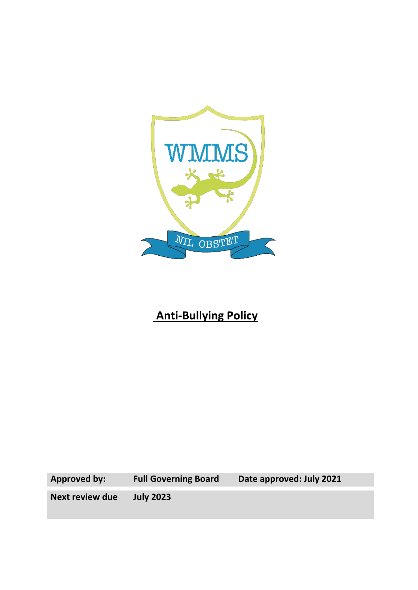

# **Anti-Bullying Policy**

**Approved by: Full Governing Board Date approved: July 2021**

**Next review due July 2023**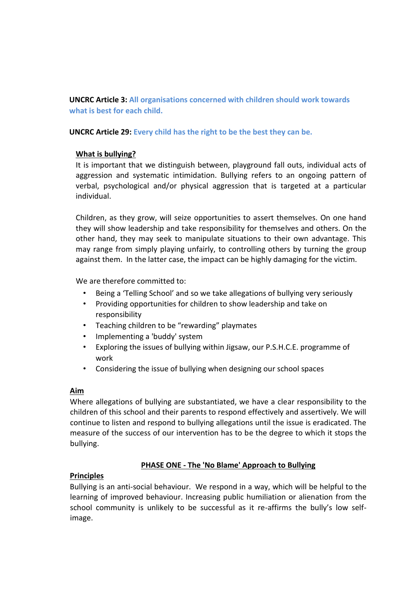**UNCRC Article 3: All organisations concerned with children should work towards what is best for each child.**

**UNCRC Article 29: Every child has the right to be the best they can be.**

## **What is bullying?**

It is important that we distinguish between, playground fall outs, individual acts of aggression and systematic intimidation. Bullying refers to an ongoing pattern of verbal, psychological and/or physical aggression that is targeted at a particular individual.

Children, as they grow, will seize opportunities to assert themselves. On one hand they will show leadership and take responsibility for themselves and others. On the other hand, they may seek to manipulate situations to their own advantage. This may range from simply playing unfairly, to controlling others by turning the group against them. In the latter case, the impact can be highly damaging for the victim.

We are therefore committed to:

- Being a 'Telling School' and so we take allegations of bullying very seriously
- Providing opportunities for children to show leadership and take on responsibility
- Teaching children to be "rewarding" playmates
- Implementing a 'buddy' system
- Exploring the issues of bullying within Jigsaw, our P.S.H.C.E. programme of work
- Considering the issue of bullying when designing our school spaces

#### **Aim**

Where allegations of bullying are substantiated, we have a clear responsibility to the children of this school and their parents to respond effectively and assertively. We will continue to listen and respond to bullying allegations until the issue is eradicated. The measure of the success of our intervention has to be the degree to which it stops the bullying.

# **PHASE ONE - The 'No Blame' Approach to Bullying**

# **Principles**

Bullying is an anti-social behaviour. We respond in a way, which will be helpful to the learning of improved behaviour. Increasing public humiliation or alienation from the school community is unlikely to be successful as it re-affirms the bully's low selfimage.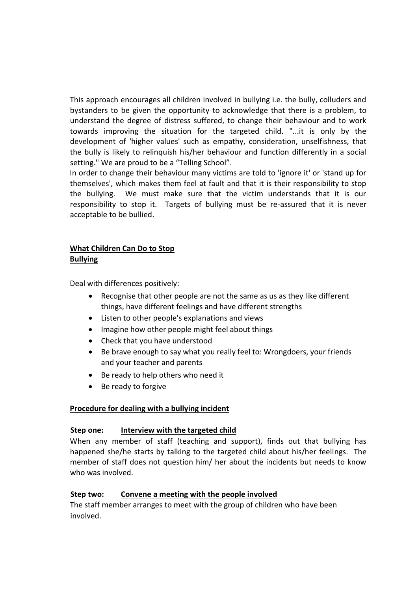This approach encourages all children involved in bullying i.e. the bully, colluders and bystanders to be given the opportunity to acknowledge that there is a problem, to understand the degree of distress suffered, to change their behaviour and to work towards improving the situation for the targeted child. "...it is only by the development of 'higher values' such as empathy, consideration, unselfishness, that the bully is likely to relinquish his/her behaviour and function differently in a social setting." We are proud to be a "Telling School".

In order to change their behaviour many victims are told to 'ignore it' or 'stand up for themselves', which makes them feel at fault and that it is their responsibility to stop the bullying. We must make sure that the victim understands that it is our responsibility to stop it. Targets of bullying must be re-assured that it is never acceptable to be bullied.

#### **What Children Can Do to Stop Bullying**

Deal with differences positively:

- Recognise that other people are not the same as us as they like different things, have different feelings and have different strengths
- Listen to other people's explanations and views
- Imagine how other people might feel about things
- Check that you have understood
- Be brave enough to say what you really feel to: Wrongdoers, your friends and your teacher and parents
- Be ready to help others who need it
- Be ready to forgive

#### **Procedure for dealing with a bullying incident**

#### **Step one: Interview with the targeted child**

When any member of staff (teaching and support), finds out that bullying has happened she/he starts by talking to the targeted child about his/her feelings. The member of staff does not question him/ her about the incidents but needs to know who was involved.

#### **Step two: Convene a meeting with the people involved**

The staff member arranges to meet with the group of children who have been involved.